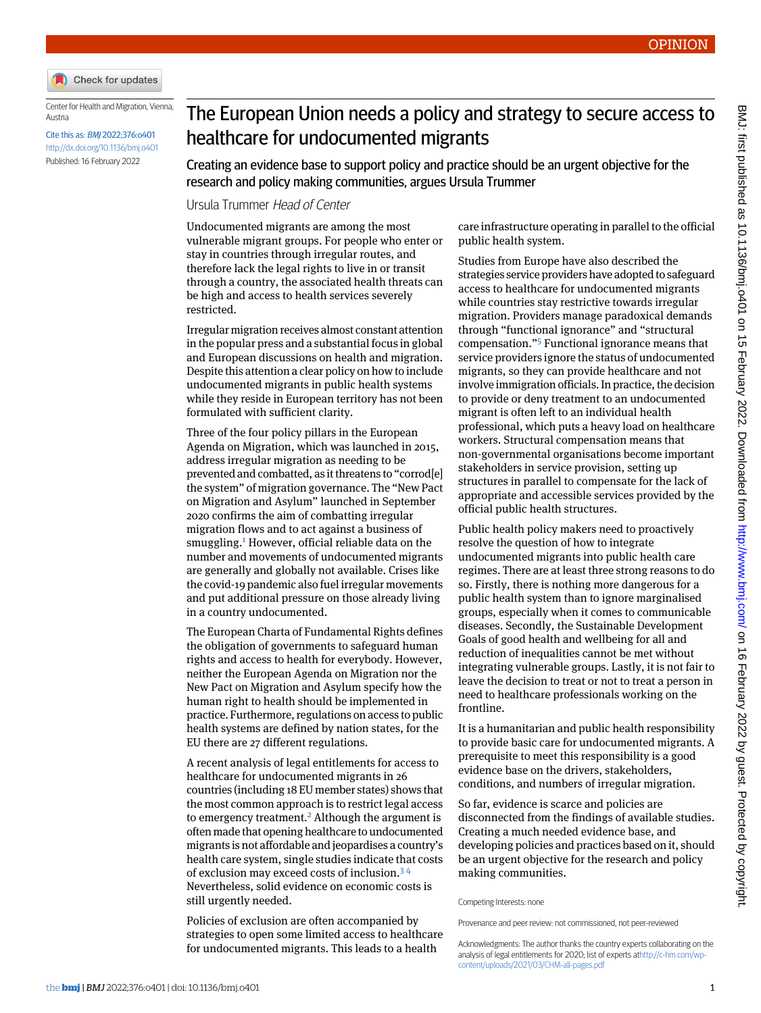

Center for Health and Migration, Vienna, Austria

Cite this as: BMJ 2022;376:o401 <http://dx.doi.org/10.1136/bmj.o401> Published: 16 February 2022

## The European Union needs a policy and strategy to secure access to healthcare for undocumented migrants

Creating an evidence base to support policy and practice should be an urgent objective for the research and policy making communities, argues Ursula Trummer

## Ursula Trummer Head of Center

Undocumented migrants are among the most vulnerable migrant groups. For people who enter or stay in countries through irregular routes, and therefore lack the legal rights to live in or transit through a country, the associated health threats can be high and access to health services severely restricted.

Irregular migration receives almost constant attention in the popular press and a substantial focus in global and European discussions on health and migration. Despite this attention a clear policy on how to include undocumented migrants in public health systems while they reside in European territory has not been formulated with sufficient clarity.

Three of the four policy pillars in the European Agenda on Migration, which was launched in 2015, address irregular migration as needing to be prevented and combatted, as it threatens to "corrod[e] the system" of migration governance. The "New Pact on Migration and Asylum" launched in September 2020 confirms the aim of combatting irregular migration flows and to act against a business of smuggling.<sup>[1](#page-1-0)</sup> However, official reliable data on the number and movements of undocumented migrants are generally and globally not available. Crises like the covid-19 pandemic also fuel irregular movements and put additional pressure on those already living in a country undocumented.

The European Charta of Fundamental Rights defines the obligation of governments to safeguard human rights and access to health for everybody. However, neither the European Agenda on Migration nor the New Pact on Migration and Asylum specify how the human right to health should be implemented in practice. Furthermore, regulations on access to public health systems are defined by nation states, for the EU there are 27 different regulations.

A recent analysis of legal entitlements for access to healthcare for undocumented migrants in 26 countries (including 18 EU member states) shows that the most common approach is to restrict legal access to emergency treatment.[2](#page-1-1) Although the argument is often made that opening healthcare to undocumented migrants is not affordable and jeopardises a country's health care system, single studies indicate that costs of exclusion may exceed costs of inclusion.[3](#page-1-2) [4](#page-1-3) Nevertheless, solid evidence on economic costs is still urgently needed.

Policies of exclusion are often accompanied by strategies to open some limited access to healthcare for undocumented migrants. This leads to a health

care infrastructure operating in parallel to the official public health system.

Studies from Europe have also described the strategies service providers have adopted to safeguard access to healthcare for undocumented migrants while countries stay restrictive towards irregular migration. Providers manage paradoxical demands through "functional ignorance" and "structural compensation." [5](#page-1-4) Functional ignorance means that service providers ignore the status of undocumented migrants, so they can provide healthcare and not involve immigration officials. In practice, the decision to provide or deny treatment to an undocumented migrant is often left to an individual health professional, which puts a heavy load on healthcare workers. Structural compensation means that non-governmental organisations become important stakeholders in service provision, setting up structures in parallel to compensate for the lack of appropriate and accessible services provided by the official public health structures.

Public health policy makers need to proactively resolve the question of how to integrate undocumented migrants into public health care regimes. There are at least three strong reasons to do so. Firstly, there is nothing more dangerous for a public health system than to ignore marginalised groups, especially when it comes to communicable diseases. Secondly, the Sustainable Development Goals of good health and wellbeing for all and reduction of inequalities cannot be met without integrating vulnerable groups. Lastly, it is not fair to leave the decision to treat or not to treat a person in need to healthcare professionals working on the frontline.

It is a humanitarian and public health responsibility to provide basic care for undocumented migrants. A prerequisite to meet this responsibility is a good evidence base on the drivers, stakeholders, conditions, and numbers of irregular migration.

So far, evidence is scarce and policies are disconnected from the findings of available studies. Creating a much needed evidence base, and developing policies and practices based on it, should be an urgent objective for the research and policy making communities.

Competing Interests: none

Provenance and peer review: not commissioned, not peer-reviewed

Acknowledgments: The author thanks the country experts collaborating on the analysis of legal entitlements for 2020; list of experts at[http://c-hm.com/wp](http://c-hm.com/wp-content/uploads/2021/03/CHM-all-pages.pdf)[content/uploads/2021/03/CHM-all-pages.pdf](http://c-hm.com/wp-content/uploads/2021/03/CHM-all-pages.pdf)